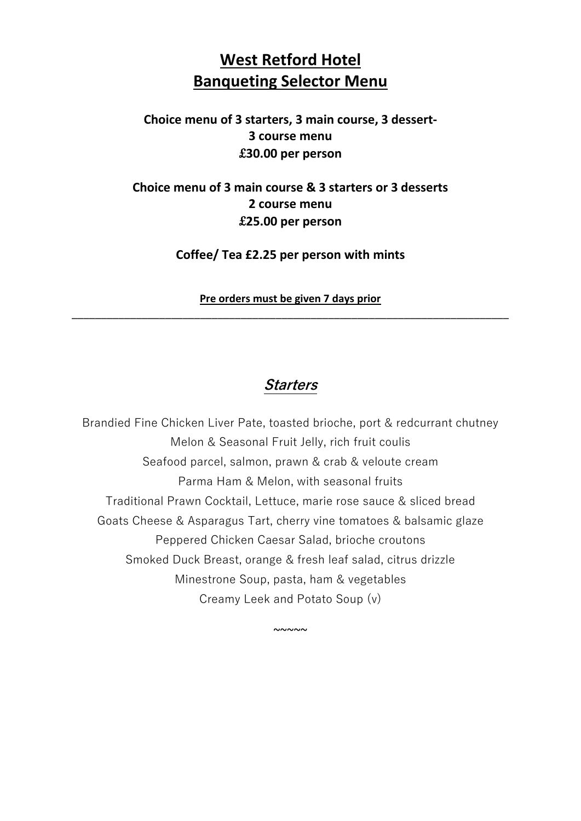# **West Retford Hotel Banqueting Selector Menu**

### **Choice menu of 3 starters, 3 main course, 3 dessert-3 course menu** £**30.00 per person**

### **Choice menu of 3 main course & 3 starters or 3 desserts 2 course menu** £**25.00 per person**

**Coffee/ Tea £2.25 per person with mints**

**Pre orders must be given 7 days prior** \_\_\_\_\_\_\_\_\_\_\_\_\_\_\_\_\_\_\_\_\_\_\_\_\_\_\_\_\_\_\_\_\_\_\_\_\_\_\_\_\_\_\_\_\_\_\_\_\_\_\_\_\_\_\_\_\_\_\_\_\_\_\_\_\_\_\_\_\_\_\_\_\_\_\_

## **Starters**

Brandied Fine Chicken Liver Pate, toasted brioche, port & redcurrant chutney Melon & Seasonal Fruit Jelly, rich fruit coulis Seafood parcel, salmon, prawn & crab & veloute cream Parma Ham & Melon, with seasonal fruits Traditional Prawn Cocktail, Lettuce, marie rose sauce & sliced bread Goats Cheese & Asparagus Tart, cherry vine tomatoes & balsamic glaze Peppered Chicken Caesar Salad, brioche croutons Smoked Duck Breast, orange & fresh leaf salad, citrus drizzle Minestrone Soup, pasta, ham & vegetables Creamy Leek and Potato Soup (v)

 $~\sim$   $\sim$   $\sim$   $\sim$